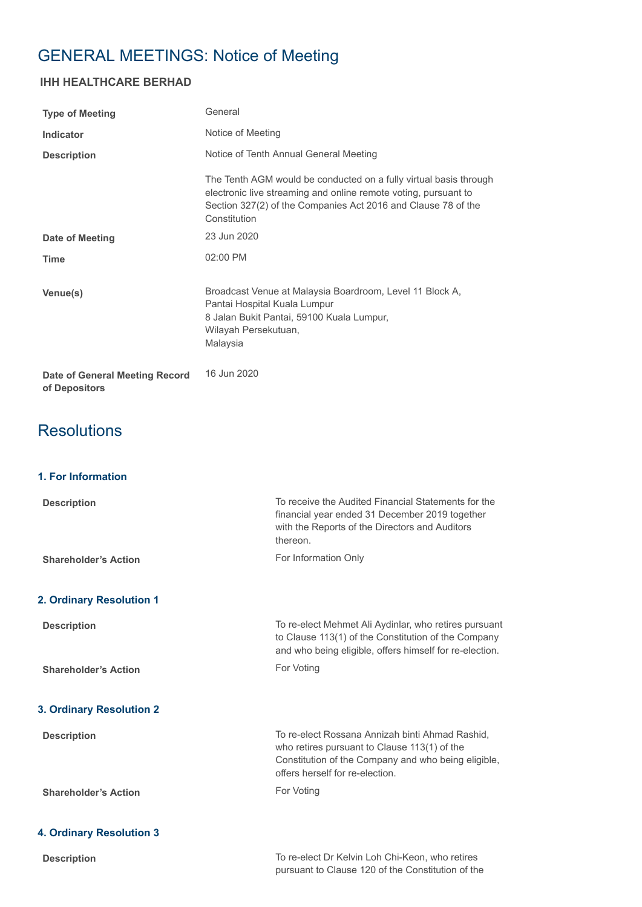# GENERAL MEETINGS: Notice of Meeting

# **IHH HEALTHCARE BERHAD**

| <b>Type of Meeting</b>                          | General                                                                                                                                                                                                               |
|-------------------------------------------------|-----------------------------------------------------------------------------------------------------------------------------------------------------------------------------------------------------------------------|
| Indicator                                       | Notice of Meeting                                                                                                                                                                                                     |
| <b>Description</b>                              | Notice of Tenth Annual General Meeting                                                                                                                                                                                |
|                                                 | The Tenth AGM would be conducted on a fully virtual basis through<br>electronic live streaming and online remote voting, pursuant to<br>Section 327(2) of the Companies Act 2016 and Clause 78 of the<br>Constitution |
| <b>Date of Meeting</b>                          | 23 Jun 2020                                                                                                                                                                                                           |
| <b>Time</b>                                     | 02:00 PM                                                                                                                                                                                                              |
| Venue(s)                                        | Broadcast Venue at Malaysia Boardroom, Level 11 Block A,<br>Pantai Hospital Kuala Lumpur<br>8 Jalan Bukit Pantai, 59100 Kuala Lumpur,<br>Wilayah Persekutuan,<br>Malaysia                                             |
| Date of General Meeting Record<br>of Depositors | 16 Jun 2020                                                                                                                                                                                                           |
| <b>Resolutions</b>                              |                                                                                                                                                                                                                       |
| 1. For Information                              |                                                                                                                                                                                                                       |
| <b>Description</b>                              | To receive the Audited Financial Statements for the                                                                                                                                                                   |

|                                 | financial year ended 31 December 2019 together<br>with the Reports of the Directors and Auditors<br>thereon.                                                                              |
|---------------------------------|-------------------------------------------------------------------------------------------------------------------------------------------------------------------------------------------|
| <b>Shareholder's Action</b>     | For Information Only                                                                                                                                                                      |
| 2. Ordinary Resolution 1        |                                                                                                                                                                                           |
| <b>Description</b>              | To re-elect Mehmet Ali Aydinlar, who retires pursuant<br>to Clause 113(1) of the Constitution of the Company<br>and who being eligible, offers himself for re-election.                   |
| <b>Shareholder's Action</b>     | For Voting                                                                                                                                                                                |
| <b>3. Ordinary Resolution 2</b> |                                                                                                                                                                                           |
| <b>Description</b>              | To re-elect Rossana Annizah binti Ahmad Rashid,<br>who retires pursuant to Clause 113(1) of the<br>Constitution of the Company and who being eligible,<br>offers herself for re-election. |
| <b>Shareholder's Action</b>     | For Voting                                                                                                                                                                                |
| <b>4. Ordinary Resolution 3</b> |                                                                                                                                                                                           |
| <b>Description</b>              | To re-elect Dr Kelvin Loh Chi-Keon, who retires<br>pursuant to Clause 120 of the Constitution of the                                                                                      |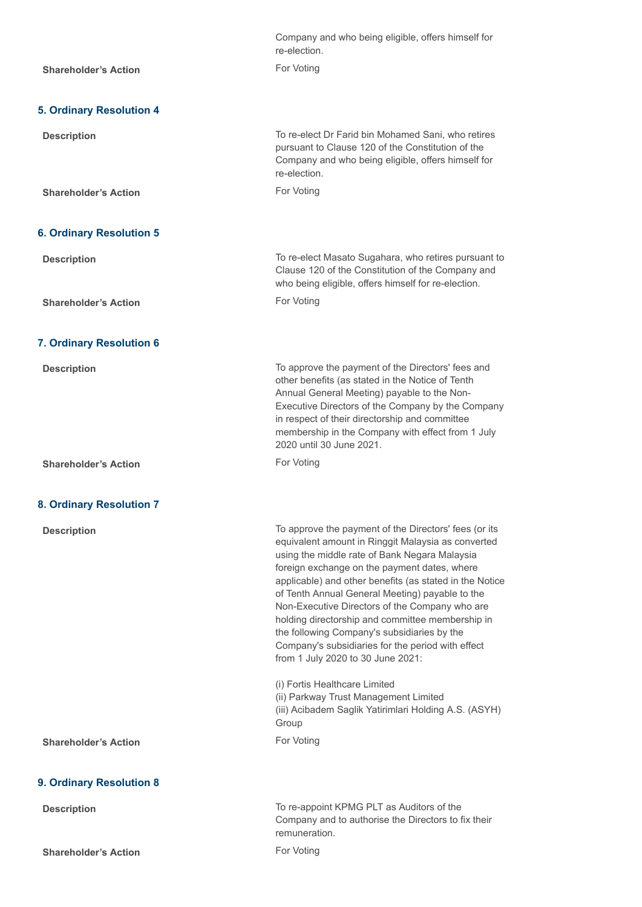|                                 | Company and who being eligible, offers himself for<br>re-election.                                                                                                                                                                                                                                                                                                                                                                                                                                                                                                        |
|---------------------------------|---------------------------------------------------------------------------------------------------------------------------------------------------------------------------------------------------------------------------------------------------------------------------------------------------------------------------------------------------------------------------------------------------------------------------------------------------------------------------------------------------------------------------------------------------------------------------|
| <b>Shareholder's Action</b>     | For Voting                                                                                                                                                                                                                                                                                                                                                                                                                                                                                                                                                                |
|                                 |                                                                                                                                                                                                                                                                                                                                                                                                                                                                                                                                                                           |
| <b>5. Ordinary Resolution 4</b> |                                                                                                                                                                                                                                                                                                                                                                                                                                                                                                                                                                           |
| <b>Description</b>              | To re-elect Dr Farid bin Mohamed Sani, who retires<br>pursuant to Clause 120 of the Constitution of the<br>Company and who being eligible, offers himself for<br>re-election.                                                                                                                                                                                                                                                                                                                                                                                             |
| <b>Shareholder's Action</b>     | For Voting                                                                                                                                                                                                                                                                                                                                                                                                                                                                                                                                                                |
|                                 |                                                                                                                                                                                                                                                                                                                                                                                                                                                                                                                                                                           |
| <b>6. Ordinary Resolution 5</b> |                                                                                                                                                                                                                                                                                                                                                                                                                                                                                                                                                                           |
| <b>Description</b>              | To re-elect Masato Sugahara, who retires pursuant to<br>Clause 120 of the Constitution of the Company and<br>who being eligible, offers himself for re-election.                                                                                                                                                                                                                                                                                                                                                                                                          |
| <b>Shareholder's Action</b>     | For Voting                                                                                                                                                                                                                                                                                                                                                                                                                                                                                                                                                                |
|                                 |                                                                                                                                                                                                                                                                                                                                                                                                                                                                                                                                                                           |
| 7. Ordinary Resolution 6        |                                                                                                                                                                                                                                                                                                                                                                                                                                                                                                                                                                           |
| <b>Description</b>              | To approve the payment of the Directors' fees and<br>other benefits (as stated in the Notice of Tenth<br>Annual General Meeting) payable to the Non-<br>Executive Directors of the Company by the Company<br>in respect of their directorship and committee<br>membership in the Company with effect from 1 July<br>2020 until 30 June 2021.                                                                                                                                                                                                                              |
| <b>Shareholder's Action</b>     | For Voting                                                                                                                                                                                                                                                                                                                                                                                                                                                                                                                                                                |
|                                 |                                                                                                                                                                                                                                                                                                                                                                                                                                                                                                                                                                           |
| <b>8. Ordinary Resolution 7</b> |                                                                                                                                                                                                                                                                                                                                                                                                                                                                                                                                                                           |
| <b>Description</b>              | To approve the payment of the Directors' fees (or its<br>equivalent amount in Ringgit Malaysia as converted<br>using the middle rate of Bank Negara Malaysia<br>foreign exchange on the payment dates, where<br>applicable) and other benefits (as stated in the Notice<br>of Tenth Annual General Meeting) payable to the<br>Non-Executive Directors of the Company who are<br>holding directorship and committee membership in<br>the following Company's subsidiaries by the<br>Company's subsidiaries for the period with effect<br>from 1 July 2020 to 30 June 2021: |
|                                 | (i) Fortis Healthcare Limited<br>(ii) Parkway Trust Management Limited<br>(iii) Acibadem Saglik Yatirimlari Holding A.S. (ASYH)<br>Group                                                                                                                                                                                                                                                                                                                                                                                                                                  |
| <b>Shareholder's Action</b>     | For Voting                                                                                                                                                                                                                                                                                                                                                                                                                                                                                                                                                                |
| 9. Ordinary Resolution 8        |                                                                                                                                                                                                                                                                                                                                                                                                                                                                                                                                                                           |
| <b>Description</b>              | To re-appoint KPMG PLT as Auditors of the<br>Company and to authorise the Directors to fix their<br>remuneration.                                                                                                                                                                                                                                                                                                                                                                                                                                                         |
| <b>Shareholder's Action</b>     | For Voting                                                                                                                                                                                                                                                                                                                                                                                                                                                                                                                                                                |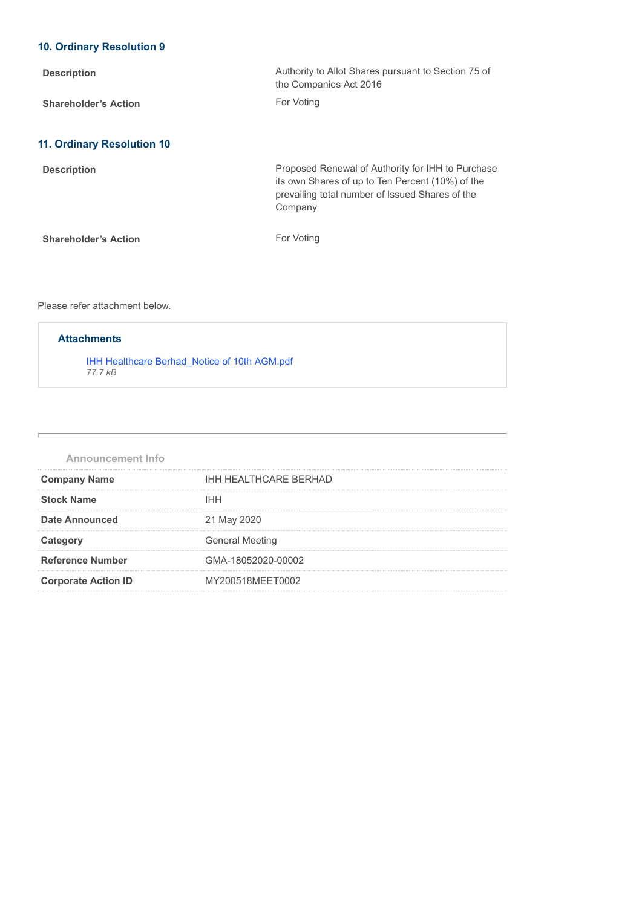# **10. Ordinary Resolution 9**

| <b>Description</b>                | Authority to Allot Shares pursuant to Section 75 of<br>the Companies Act 2016                                                                                       |
|-----------------------------------|---------------------------------------------------------------------------------------------------------------------------------------------------------------------|
| <b>Shareholder's Action</b>       | For Voting                                                                                                                                                          |
| <b>11. Ordinary Resolution 10</b> |                                                                                                                                                                     |
| <b>Description</b>                | Proposed Renewal of Authority for IHH to Purchase<br>its own Shares of up to Ten Percent (10%) of the<br>prevailing total number of Issued Shares of the<br>Company |
| <b>Shareholder's Action</b>       | For Voting                                                                                                                                                          |

## Please refer attachment below.

# **Attachments**

[IHH Healthcare Berhad\\_Notice of 10th AGM.pdf](https://disclosure.bursamalaysia.com/FileAccess/apbursaweb/download?id=18208&name=EA_GM_ATTACHMENTS) *77.7 kB*

| <b>Announcement Info</b>   |                              |
|----------------------------|------------------------------|
| <b>Company Name</b>        | <b>IHH HEALTHCARE BERHAD</b> |
| <b>Stock Name</b>          | <b>IHH</b>                   |
| Date Announced             | 21 May 2020                  |
| Category                   | <b>General Meeting</b>       |
| <b>Reference Number</b>    | GMA-18052020-00002           |
| <b>Corporate Action ID</b> | MY200518MEET0002             |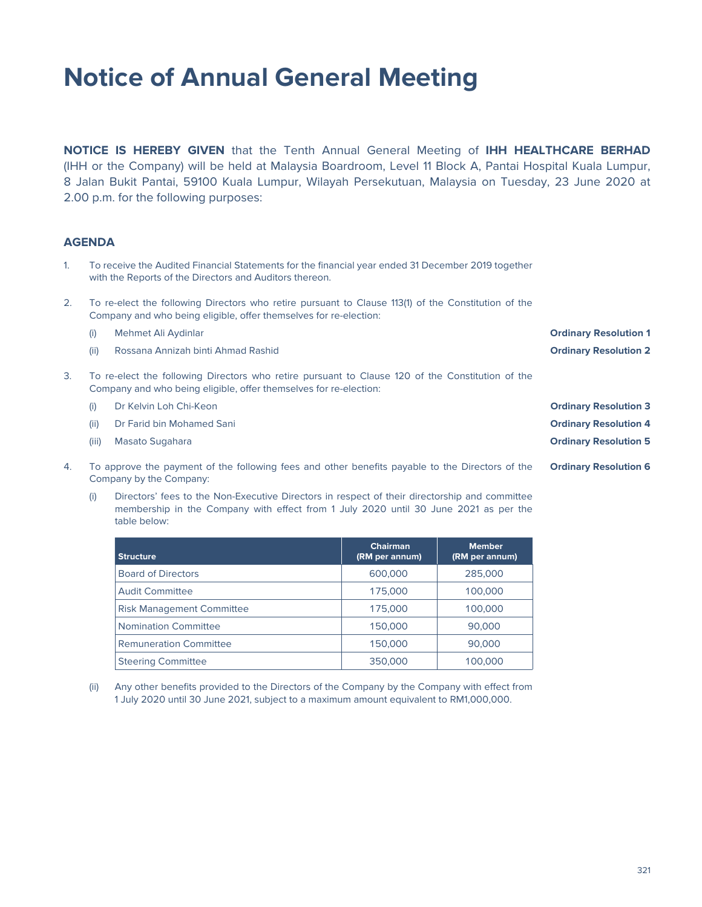# **Notice of Annual General Meeting**

**NOTICE IS HEREBY GIVEN** that the Tenth Annual General Meeting of **IHH HEALTHCARE BERHAD** (IHH or the Company) will be held at Malaysia Boardroom, Level 11 Block A, Pantai Hospital Kuala Lumpur, 8 Jalan Bukit Pantai, 59100 Kuala Lumpur, Wilayah Persekutuan, Malaysia on Tuesday, 23 June 2020 at 2.00 p.m. for the following purposes:

# **AGENDA**

- 1. To receive the Audited Financial Statements for the financial year ended 31 December 2019 together with the Reports of the Directors and Auditors thereon.
- 2. To re-elect the following Directors who retire pursuant to Clause 113(1) of the Constitution of the Company and who being eligible, offer themselves for re-election:
	- (i) Mehmet Ali Aydinlar **Ordinary Resolution 1**
		- (ii) Rossana Annizah binti Ahmad Rashid **Ordinary Resolution 2**
- 3. To re-elect the following Directors who retire pursuant to Clause 120 of the Constitution of the Company and who being eligible, offer themselves for re-election:
	- (i) Dr Kelvin Loh Chi-Keon **Ordinary Resolution 3**
	- (ii) Dr Farid bin Mohamed Sani **Ordinary Resolution 4**
	-
- 4. To approve the payment of the following fees and other benefits payable to the Directors of the Company by the Company:
	- (i) Directors' fees to the Non-Executive Directors in respect of their directorship and committee membership in the Company with effect from 1 July 2020 until 30 June 2021 as per the table below:

| <b>Structure</b>                 | <b>Chairman</b><br>(RM per annum) | <b>Member</b><br>(RM per annum) |
|----------------------------------|-----------------------------------|---------------------------------|
| <b>Board of Directors</b>        | 600,000                           | 285,000                         |
| <b>Audit Committee</b>           | 175,000                           | 100,000                         |
| <b>Risk Management Committee</b> | 175,000                           | 100,000                         |
| <b>Nomination Committee</b>      | 150,000                           | 90,000                          |
| <b>Remuneration Committee</b>    | 150,000                           | 90,000                          |
| <b>Steering Committee</b>        | 350,000                           | 100,000                         |

(ii) Any other benefits provided to the Directors of the Company by the Company with effect from 1 July 2020 until 30 June 2021, subject to a maximum amount equivalent to RM1,000,000.

(iii) Masato Sugahara **Ordinary Resolution 5**

**Ordinary Resolution 6**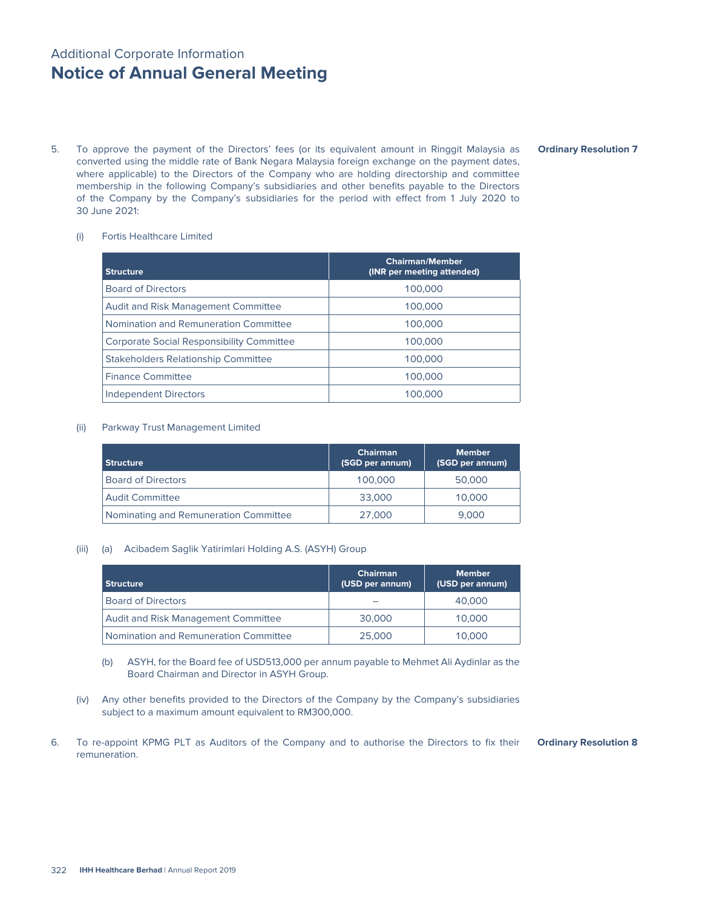# Additional Corporate Information **Notice of Annual General Meeting**

5. To approve the payment of the Directors' fees (or its equivalent amount in Ringgit Malaysia as converted using the middle rate of Bank Negara Malaysia foreign exchange on the payment dates, where applicable) to the Directors of the Company who are holding directorship and committee membership in the following Company's subsidiaries and other benefits payable to the Directors of the Company by the Company's subsidiaries for the period with effect from 1 July 2020 to 30 June 2021:

#### (i) Fortis Healthcare Limited

| <b>Structure</b>                                 | <b>Chairman/Member</b><br>(INR per meeting attended) |
|--------------------------------------------------|------------------------------------------------------|
| <b>Board of Directors</b>                        | 100,000                                              |
| <b>Audit and Risk Management Committee</b>       | 100,000                                              |
| Nomination and Remuneration Committee            | 100,000                                              |
| <b>Corporate Social Responsibility Committee</b> | 100,000                                              |
| <b>Stakeholders Relationship Committee</b>       | 100,000                                              |
| <b>Finance Committee</b>                         | 100,000                                              |
| <b>Independent Directors</b>                     | 100,000                                              |

#### (ii) Parkway Trust Management Limited

| <b>Structure</b>                      | <b>Chairman</b><br>(SGD per annum) | <b>Member</b><br>(SGD per annum) |
|---------------------------------------|------------------------------------|----------------------------------|
| <b>Board of Directors</b>             | 100,000                            | 50,000                           |
| <b>Audit Committee</b>                | 33,000                             | 10,000                           |
| Nominating and Remuneration Committee | 27,000                             | 9.000                            |

#### (iii) (a) Acibadem Saglik Yatirimlari Holding A.S. (ASYH) Group

| <b>Structure</b>                      | <b>Chairman</b><br>(USD per annum) | <b>Member</b><br>(USD per annum) |
|---------------------------------------|------------------------------------|----------------------------------|
| <b>Board of Directors</b>             |                                    | 40,000                           |
| Audit and Risk Management Committee   | 30,000                             | 10,000                           |
| Nomination and Remuneration Committee | 25,000                             | 10,000                           |

- (b) ASYH, for the Board fee of USD513,000 per annum payable to Mehmet Ali Aydinlar as the Board Chairman and Director in ASYH Group.
- (iv) Any other benefits provided to the Directors of the Company by the Company's subsidiaries subject to a maximum amount equivalent to RM300,000.
- 6. To re-appoint KPMG PLT as Auditors of the Company and to authorise the Directors to fix their remuneration. **Ordinary Resolution 8**

#### **Ordinary Resolution 7**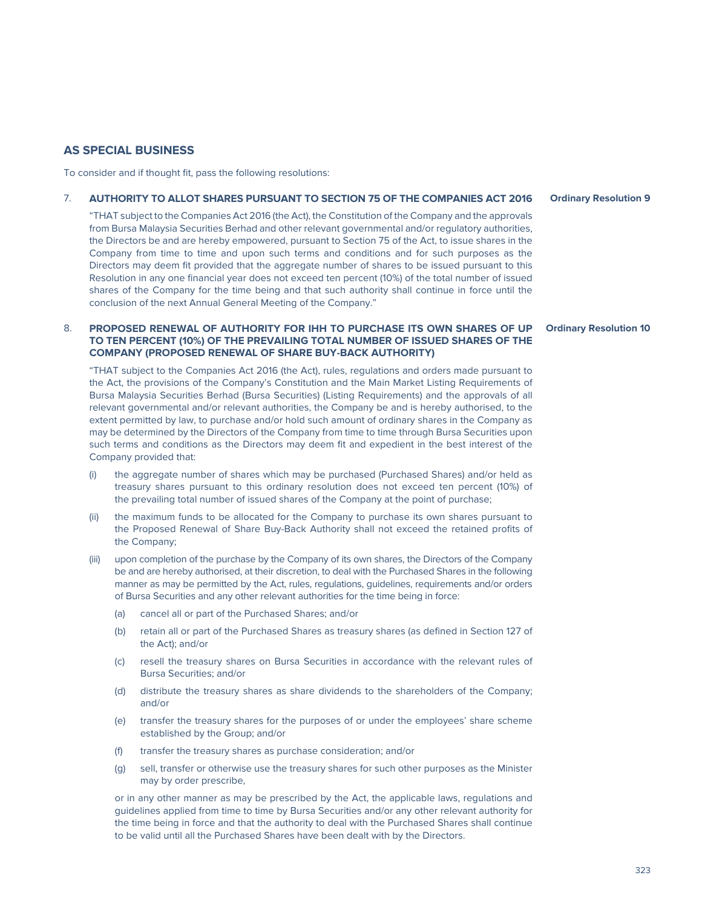To consider and if thought fit, pass the following resolutions:

# 7. **AUTHORITY TO ALLOT SHARES PURSUANT TO SECTION 75 OF THE COMPANIES ACT 2016**

"THAT subject to the Companies Act 2016 (the Act), the Constitution of the Company and the approvals from Bursa Malaysia Securities Berhad and other relevant governmental and/or regulatory authorities, the Directors be and are hereby empowered, pursuant to Section 75 of the Act, to issue shares in the Company from time to time and upon such terms and conditions and for such purposes as the Directors may deem fit provided that the aggregate number of shares to be issued pursuant to this Resolution in any one financial year does not exceed ten percent (10%) of the total number of issued shares of the Company for the time being and that such authority shall continue in force until the conclusion of the next Annual General Meeting of the Company."

## 8. **PROPOSED RENEWAL OF AUTHORITY FOR IHH TO PURCHASE ITS OWN SHARES OF UP TO TEN PERCENT (10%) OF THE PREVAILING TOTAL NUMBER OF ISSUED SHARES OF THE COMPANY (PROPOSED RENEWAL OF SHARE BUY-BACK AUTHORITY)**

"THAT subject to the Companies Act 2016 (the Act), rules, regulations and orders made pursuant to the Act, the provisions of the Company's Constitution and the Main Market Listing Requirements of Bursa Malaysia Securities Berhad (Bursa Securities) (Listing Requirements) and the approvals of all relevant governmental and/or relevant authorities, the Company be and is hereby authorised, to the extent permitted by law, to purchase and/or hold such amount of ordinary shares in the Company as may be determined by the Directors of the Company from time to time through Bursa Securities upon such terms and conditions as the Directors may deem fit and expedient in the best interest of the Company provided that:

- (i) the aggregate number of shares which may be purchased (Purchased Shares) and/or held as treasury shares pursuant to this ordinary resolution does not exceed ten percent (10%) of the prevailing total number of issued shares of the Company at the point of purchase;
- (ii) the maximum funds to be allocated for the Company to purchase its own shares pursuant to the Proposed Renewal of Share Buy-Back Authority shall not exceed the retained profits of the Company;
- (iii) upon completion of the purchase by the Company of its own shares, the Directors of the Company be and are hereby authorised, at their discretion, to deal with the Purchased Shares in the following manner as may be permitted by the Act, rules, regulations, guidelines, requirements and/or orders of Bursa Securities and any other relevant authorities for the time being in force:
	- (a) cancel all or part of the Purchased Shares; and/or
	- (b) retain all or part of the Purchased Shares as treasury shares (as defined in Section 127 of the Act); and/or
	- (c) resell the treasury shares on Bursa Securities in accordance with the relevant rules of Bursa Securities; and/or
	- (d) distribute the treasury shares as share dividends to the shareholders of the Company; and/or
	- (e) transfer the treasury shares for the purposes of or under the employees' share scheme established by the Group; and/or
	- (f) transfer the treasury shares as purchase consideration; and/or
	- (g) sell, transfer or otherwise use the treasury shares for such other purposes as the Minister may by order prescribe,

 or in any other manner as may be prescribed by the Act, the applicable laws, regulations and guidelines applied from time to time by Bursa Securities and/or any other relevant authority for the time being in force and that the authority to deal with the Purchased Shares shall continue to be valid until all the Purchased Shares have been dealt with by the Directors.

**Ordinary Resolution 9**

## **Ordinary Resolution 10**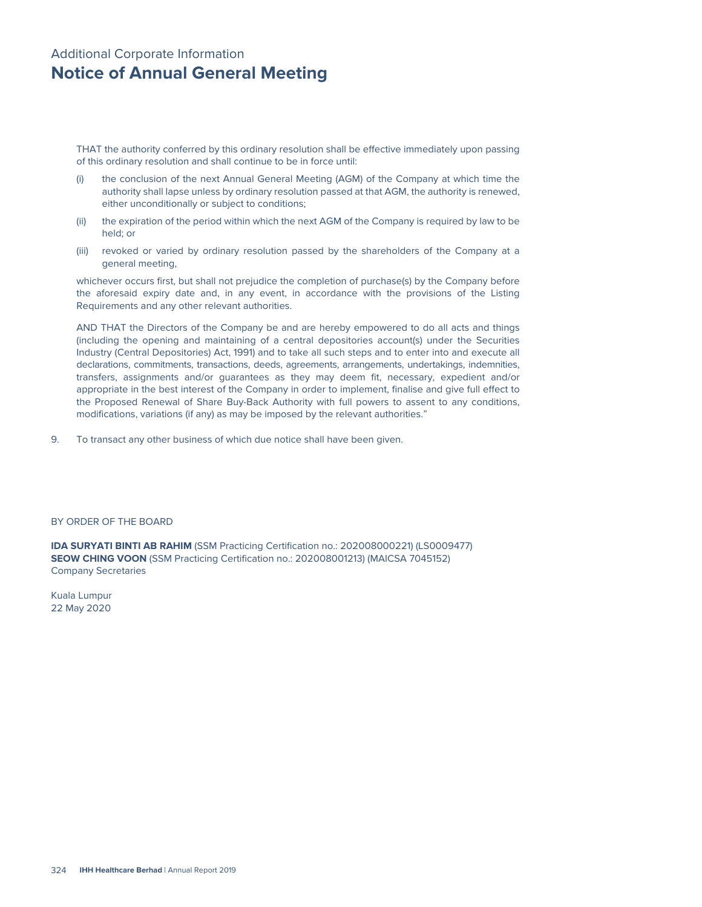# Additional Corporate Information **Notice of Annual General Meeting**

THAT the authority conferred by this ordinary resolution shall be effective immediately upon passing of this ordinary resolution and shall continue to be in force until:

- (i) the conclusion of the next Annual General Meeting (AGM) of the Company at which time the authority shall lapse unless by ordinary resolution passed at that AGM, the authority is renewed, either unconditionally or subject to conditions;
- (ii) the expiration of the period within which the next AGM of the Company is required by law to be held; or
- (iii) revoked or varied by ordinary resolution passed by the shareholders of the Company at a general meeting,

whichever occurs first, but shall not prejudice the completion of purchase(s) by the Company before the aforesaid expiry date and, in any event, in accordance with the provisions of the Listing Requirements and any other relevant authorities.

AND THAT the Directors of the Company be and are hereby empowered to do all acts and things (including the opening and maintaining of a central depositories account(s) under the Securities Industry (Central Depositories) Act, 1991) and to take all such steps and to enter into and execute all declarations, commitments, transactions, deeds, agreements, arrangements, undertakings, indemnities, transfers, assignments and/or guarantees as they may deem fit, necessary, expedient and/or appropriate in the best interest of the Company in order to implement, finalise and give full effect to the Proposed Renewal of Share Buy-Back Authority with full powers to assent to any conditions, modifications, variations (if any) as may be imposed by the relevant authorities."

9. To transact any other business of which due notice shall have been given.

#### BY ORDER OF THE BOARD

**IDA SURYATI BINTI AB RAHIM** (SSM Practicing Certification no.: 202008000221) (LS0009477) **SEOW CHING VOON** (SSM Practicing Certification no.: 202008001213) (MAICSA 7045152) Company Secretaries

Kuala Lumpur 22 May 2020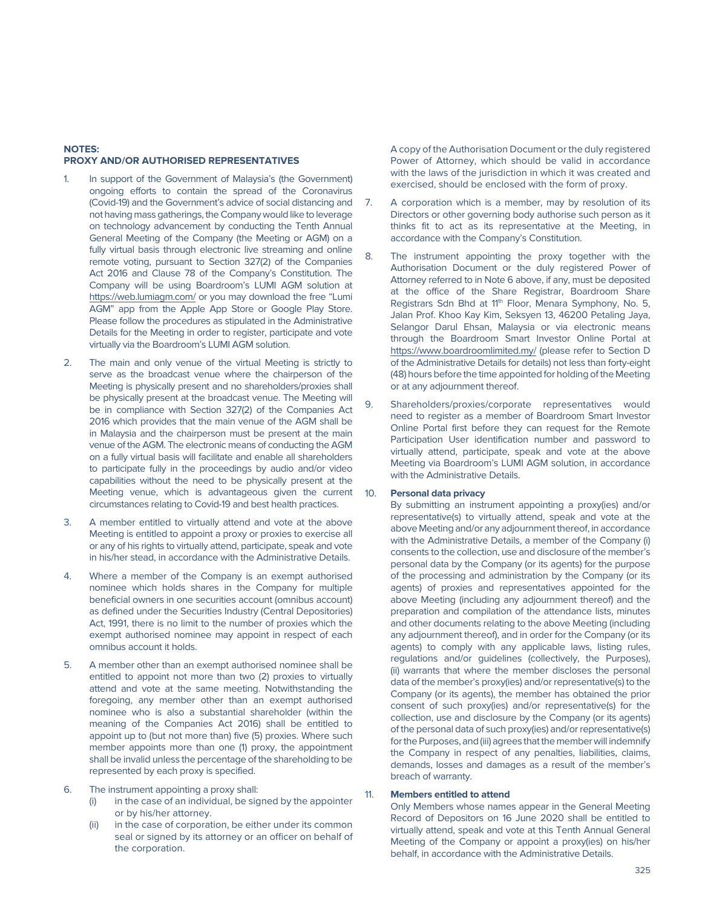#### **NOTES: PROXY AND/OR AUTHORISED REPRESENTATIVES**

- In support of the Government of Malaysia's (the Government) ongoing efforts to contain the spread of the Coronavirus (Covid-19) and the Government's advice of social distancing and not having mass gatherings, the Company would like to leverage on technology advancement by conducting the Tenth Annual General Meeting of the Company (the Meeting or AGM) on a fully virtual basis through electronic live streaming and online remote voting, pursuant to Section 327(2) of the Companies Act 2016 and Clause 78 of the Company's Constitution. The Company will be using Boardroom's LUMI AGM solution at https://web.lumiagm.com/ or you may download the free "Lumi AGM" app from the Apple App Store or Google Play Store. Please follow the procedures as stipulated in the Administrative Details for the Meeting in order to register, participate and vote virtually via the Boardroom's LUMI AGM solution.
- 2. The main and only venue of the virtual Meeting is strictly to serve as the broadcast venue where the chairperson of the Meeting is physically present and no shareholders/proxies shall be physically present at the broadcast venue. The Meeting will be in compliance with Section 327(2) of the Companies Act 2016 which provides that the main venue of the AGM shall be in Malaysia and the chairperson must be present at the main venue of the AGM. The electronic means of conducting the AGM on a fully virtual basis will facilitate and enable all shareholders to participate fully in the proceedings by audio and/or video capabilities without the need to be physically present at the Meeting venue, which is advantageous given the current 10. circumstances relating to Covid-19 and best health practices.
- 3. A member entitled to virtually attend and vote at the above Meeting is entitled to appoint a proxy or proxies to exercise all or any of his rights to virtually attend, participate, speak and vote in his/her stead, in accordance with the Administrative Details.
- 4. Where a member of the Company is an exempt authorised nominee which holds shares in the Company for multiple beneficial owners in one securities account (omnibus account) as defined under the Securities Industry (Central Depositories) Act, 1991, there is no limit to the number of proxies which the exempt authorised nominee may appoint in respect of each omnibus account it holds.
- 5. A member other than an exempt authorised nominee shall be entitled to appoint not more than two (2) proxies to virtually attend and vote at the same meeting. Notwithstanding the foregoing, any member other than an exempt authorised nominee who is also a substantial shareholder (within the meaning of the Companies Act 2016) shall be entitled to appoint up to (but not more than) five (5) proxies. Where such member appoints more than one (1) proxy, the appointment shall be invalid unless the percentage of the shareholding to be represented by each proxy is specified.
- 6. The instrument appointing a proxy shall:
	- (i) in the case of an individual, be signed by the appointer or by his/her attorney.
	- (ii) in the case of corporation, be either under its common seal or signed by its attorney or an officer on behalf of the corporation.

 A copy of the Authorisation Document or the duly registered Power of Attorney, which should be valid in accordance with the laws of the jurisdiction in which it was created and exercised, should be enclosed with the form of proxy.

- 7. A corporation which is a member, may by resolution of its Directors or other governing body authorise such person as it thinks fit to act as its representative at the Meeting, in accordance with the Company's Constitution.
- 8. The instrument appointing the proxy together with the Authorisation Document or the duly registered Power of Attorney referred to in Note 6 above, if any, must be deposited at the office of the Share Registrar, Boardroom Share Registrars Sdn Bhd at 11<sup>th</sup> Floor, Menara Symphony, No. 5, Jalan Prof. Khoo Kay Kim, Seksyen 13, 46200 Petaling Jaya, Selangor Darul Ehsan, Malaysia or via electronic means through the Boardroom Smart Investor Online Portal at https://www.boardroomlimited.my/ (please refer to Section D of the Administrative Details for details) not less than forty-eight (48) hours before the time appointed for holding of the Meeting or at any adjournment thereof.
- 9. Shareholders/proxies/corporate representatives would need to register as a member of Boardroom Smart Investor Online Portal first before they can request for the Remote Participation User identification number and password to virtually attend, participate, speak and vote at the above Meeting via Boardroom's LUMI AGM solution, in accordance with the Administrative Details.

#### **Personal data privacy**

 By submitting an instrument appointing a proxy(ies) and/or representative(s) to virtually attend, speak and vote at the above Meeting and/or any adjournment thereof, in accordance with the Administrative Details, a member of the Company (i) consents to the collection, use and disclosure of the member's personal data by the Company (or its agents) for the purpose of the processing and administration by the Company (or its agents) of proxies and representatives appointed for the above Meeting (including any adjournment thereof) and the preparation and compilation of the attendance lists, minutes and other documents relating to the above Meeting (including any adjournment thereof), and in order for the Company (or its agents) to comply with any applicable laws, listing rules, regulations and/or guidelines (collectively, the Purposes), (ii) warrants that where the member discloses the personal data of the member's proxy(ies) and/or representative(s) to the Company (or its agents), the member has obtained the prior consent of such proxy(ies) and/or representative(s) for the collection, use and disclosure by the Company (or its agents) of the personal data of such proxy(ies) and/or representative(s) for the Purposes, and (iii) agrees that the member will indemnify the Company in respect of any penalties, liabilities, claims, demands, losses and damages as a result of the member's breach of warranty.

#### 11. **Members entitled to attend**

 Only Members whose names appear in the General Meeting Record of Depositors on 16 June 2020 shall be entitled to virtually attend, speak and vote at this Tenth Annual General Meeting of the Company or appoint a proxy(ies) on his/her behalf, in accordance with the Administrative Details.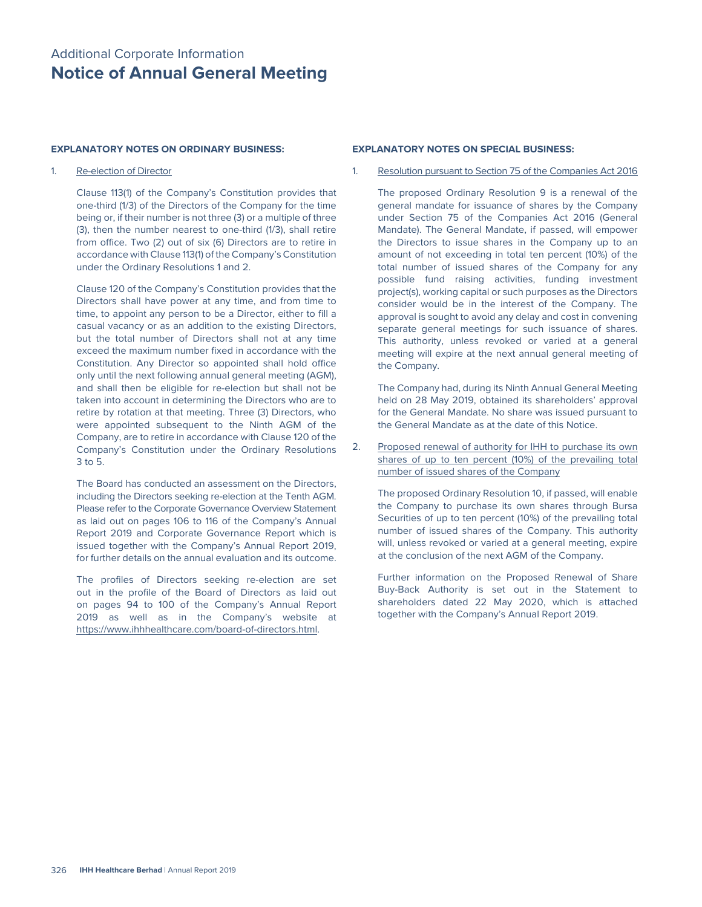#### **EXPLANATORY NOTES ON ORDINARY BUSINESS:**

#### 1. Re-election of Director

 Clause 113(1) of the Company's Constitution provides that one-third (1/3) of the Directors of the Company for the time being or, if their number is not three (3) or a multiple of three (3), then the number nearest to one-third (1/3), shall retire from office. Two (2) out of six (6) Directors are to retire in accordance with Clause 113(1) of the Company's Constitution under the Ordinary Resolutions 1 and 2.

 Clause 120 of the Company's Constitution provides that the Directors shall have power at any time, and from time to time, to appoint any person to be a Director, either to fill a casual vacancy or as an addition to the existing Directors, but the total number of Directors shall not at any time exceed the maximum number fixed in accordance with the Constitution. Any Director so appointed shall hold office only until the next following annual general meeting (AGM), and shall then be eligible for re-election but shall not be taken into account in determining the Directors who are to retire by rotation at that meeting. Three (3) Directors, who were appointed subsequent to the Ninth AGM of the Company, are to retire in accordance with Clause 120 of the Company's Constitution under the Ordinary Resolutions 3 to 5.

 The Board has conducted an assessment on the Directors, including the Directors seeking re-election at the Tenth AGM. Please refer to the Corporate Governance Overview Statement as laid out on pages 106 to 116 of the Company's Annual Report 2019 and Corporate Governance Report which is issued together with the Company's Annual Report 2019, for further details on the annual evaluation and its outcome.

 The profiles of Directors seeking re-election are set out in the profile of the Board of Directors as laid out on pages 94 to 100 of the Company's Annual Report 2019 as well as in the Company's website at https://www.ihhhealthcare.com/board-of-directors.html.

#### **EXPLANATORY NOTES ON SPECIAL BUSINESS:**

1. Resolution pursuant to Section 75 of the Companies Act 2016

 The proposed Ordinary Resolution 9 is a renewal of the general mandate for issuance of shares by the Company under Section 75 of the Companies Act 2016 (General Mandate). The General Mandate, if passed, will empower the Directors to issue shares in the Company up to an amount of not exceeding in total ten percent (10%) of the total number of issued shares of the Company for any possible fund raising activities, funding investment project(s), working capital or such purposes as the Directors consider would be in the interest of the Company. The approval is sought to avoid any delay and cost in convening separate general meetings for such issuance of shares. This authority, unless revoked or varied at a general meeting will expire at the next annual general meeting of the Company.

 The Company had, during its Ninth Annual General Meeting held on 28 May 2019, obtained its shareholders' approval for the General Mandate. No share was issued pursuant to the General Mandate as at the date of this Notice.

2. Proposed renewal of authority for IHH to purchase its own shares of up to ten percent (10%) of the prevailing total number of issued shares of the Company

 The proposed Ordinary Resolution 10, if passed, will enable the Company to purchase its own shares through Bursa Securities of up to ten percent (10%) of the prevailing total number of issued shares of the Company. This authority will, unless revoked or varied at a general meeting, expire at the conclusion of the next AGM of the Company.

 Further information on the Proposed Renewal of Share Buy-Back Authority is set out in the Statement to shareholders dated 22 May 2020, which is attached together with the Company's Annual Report 2019.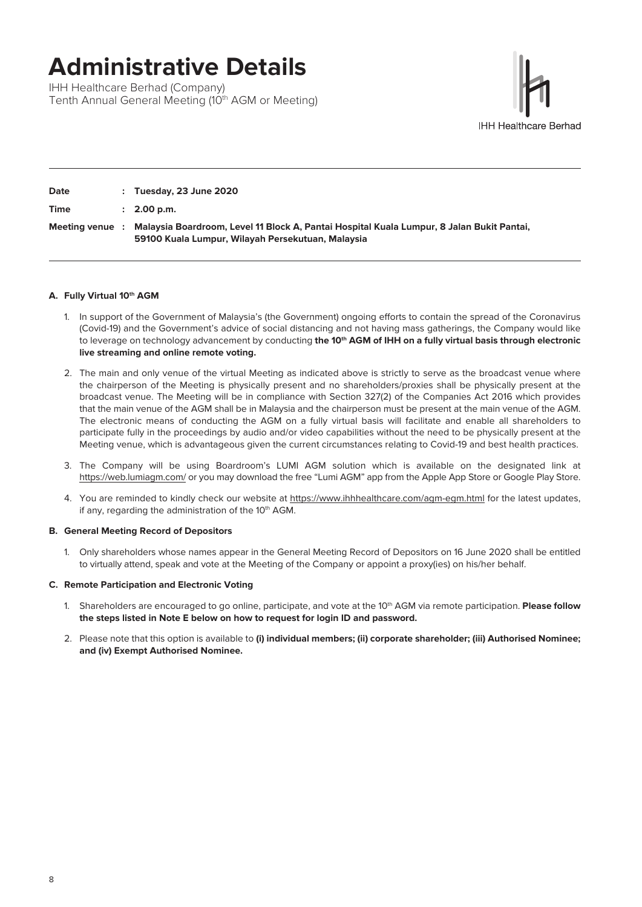# **Administrative Details**

IHH Healthcare Berhad (Company) Tenth Annual General Meeting (10<sup>th</sup> AGM or Meeting)



| Date          |           | $:$ Tuesday, 23 June 2020                                                                                                                      |
|---------------|-----------|------------------------------------------------------------------------------------------------------------------------------------------------|
| <b>Time</b>   |           | $: 2.00$ p.m.                                                                                                                                  |
| Meeting venue | $\cdot$ : | Malaysia Boardroom, Level 11 Block A, Pantai Hospital Kuala Lumpur, 8 Jalan Bukit Pantai,<br>59100 Kuala Lumpur, Wilayah Persekutuan, Malaysia |

## **A. Fully Virtual 10th AGM**

- 1. In support of the Government of Malaysia's (the Government) ongoing efforts to contain the spread of the Coronavirus (Covid-19) and the Government's advice of social distancing and not having mass gatherings, the Company would like to leverage on technology advancement by conducting the 10<sup>th</sup> AGM of IHH on a fully virtual basis through electronic **live streaming and online remote voting.**
- 2. The main and only venue of the virtual Meeting as indicated above is strictly to serve as the broadcast venue where the chairperson of the Meeting is physically present and no shareholders/proxies shall be physically present at the broadcast venue. The Meeting will be in compliance with Section 327(2) of the Companies Act 2016 which provides that the main venue of the AGM shall be in Malaysia and the chairperson must be present at the main venue of the AGM. The electronic means of conducting the AGM on a fully virtual basis will facilitate and enable all shareholders to participate fully in the proceedings by audio and/or video capabilities without the need to be physically present at the Meeting venue, which is advantageous given the current circumstances relating to Covid-19 and best health practices.
- 3. The Company will be using Boardroom's LUMI AGM solution which is available on the designated link at https://web.lumiagm.com/ or you may download the free "Lumi AGM" app from the Apple App Store or Google Play Store.
- 4. You are reminded to kindly check our website at https://www.ihhhealthcare.com/agm-egm.html for the latest updates, if any, regarding the administration of the 10<sup>th</sup> AGM.

#### **B. General Meeting Record of Depositors**

1. Only shareholders whose names appear in the General Meeting Record of Depositors on 16 June 2020 shall be entitled to virtually attend, speak and vote at the Meeting of the Company or appoint a proxy(ies) on his/her behalf.

#### **C. Remote Participation and Electronic Voting**

- 1. Shareholders are encouraged to go online, participate, and vote at the 10<sup>th</sup> AGM via remote participation. **Please follow the steps listed in Note E below on how to request for login ID and password.**
- 2. Please note that this option is available to **(i) individual members; (ii) corporate shareholder; (iii) Authorised Nominee; and (iv) Exempt Authorised Nominee.**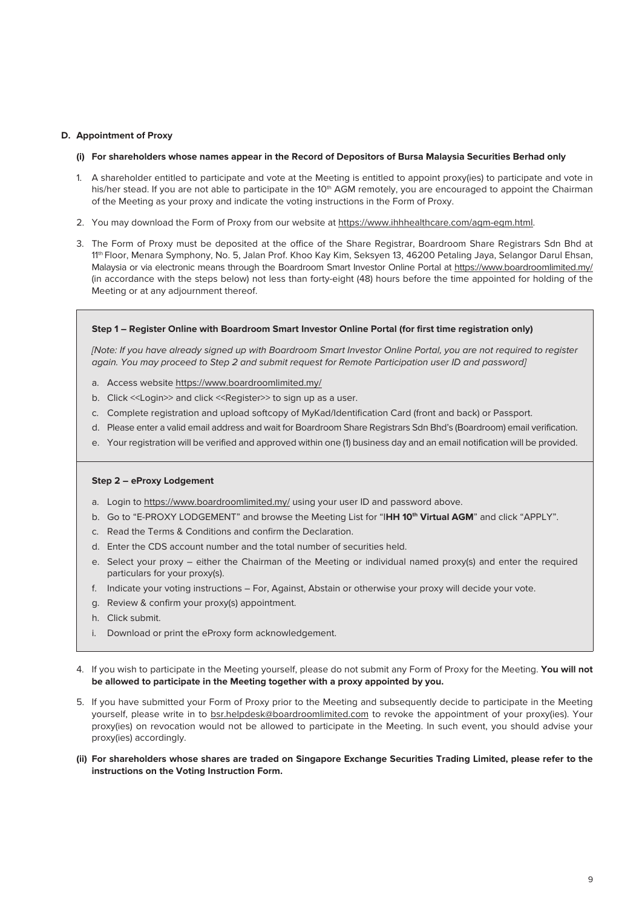#### **D. Appointment of Proxy**

#### **(i) For shareholders whose names appear in the Record of Depositors of Bursa Malaysia Securities Berhad only**

- 1. A shareholder entitled to participate and vote at the Meeting is entitled to appoint proxy(ies) to participate and vote in his/her stead. If you are not able to participate in the 10<sup>th</sup> AGM remotely, you are encouraged to appoint the Chairman of the Meeting as your proxy and indicate the voting instructions in the Form of Proxy.
- 2. You may download the Form of Proxy from our website at https://www.ihhhealthcare.com/agm-egm.html.
- 3. The Form of Proxy must be deposited at the office of the Share Registrar, Boardroom Share Registrars Sdn Bhd at 11th Floor, Menara Symphony, No. 5, Jalan Prof. Khoo Kay Kim, Seksyen 13, 46200 Petaling Jaya, Selangor Darul Ehsan, Malaysia or via electronic means through the Boardroom Smart Investor Online Portal at https://www.boardroomlimited.my/ (in accordance with the steps below) not less than forty-eight (48) hours before the time appointed for holding of the Meeting or at any adjournment thereof.

#### **Step 1 – Register Online with Boardroom Smart Investor Online Portal (for first time registration only)**

*[Note: If you have already signed up with Boardroom Smart Investor Online Portal, you are not required to register*  again. You may proceed to Step 2 and submit request for Remote Participation user ID and password]

- a. Access website https://www.boardroomlimited.my/
- b. Click <<Login>> and click <<Register>>ter> to sign up as a user.
- c. Complete registration and upload softcopy of MyKad/Identification Card (front and back) or Passport.
- d. Please enter a valid email address and wait for Boardroom Share Registrars Sdn Bhd's (Boardroom) email verification.
- e. Your registration will be verified and approved within one (1) business day and an email notification will be provided.

#### **Step 2 – eProxy Lodgement**

- a. Login to https://www.boardroomlimited.my/ using your user ID and password above.
- b. Go to "E-PROXY LODGEMENT" and browse the Meeting List for "IHH 10<sup>th</sup> Virtual AGM" and click "APPLY".
- c. Read the Terms & Conditions and confirm the Declaration.
- d. Enter the CDS account number and the total number of securities held.
- e. Select your proxy either the Chairman of the Meeting or individual named proxy(s) and enter the required particulars for your proxy(s).
- f. Indicate your voting instructions For, Against, Abstain or otherwise your proxy will decide your vote.
- g. Review & confirm your proxy(s) appointment.
- h. Click submit.
- i. Download or print the eProxy form acknowledgement.
- 4. If you wish to participate in the Meeting yourself, please do not submit any Form of Proxy for the Meeting. **You will not be allowed to participate in the Meeting together with a proxy appointed by you.**
- 5. If you have submitted your Form of Proxy prior to the Meeting and subsequently decide to participate in the Meeting yourself, please write in to bsr.helpdesk@boardroomlimited.com to revoke the appointment of your proxy(ies). Your proxy(ies) on revocation would not be allowed to participate in the Meeting. In such event, you should advise your proxy(ies) accordingly.
- **(ii) For shareholders whose shares are traded on Singapore Exchange Securities Trading Limited, please refer to the instructions on the Voting Instruction Form.**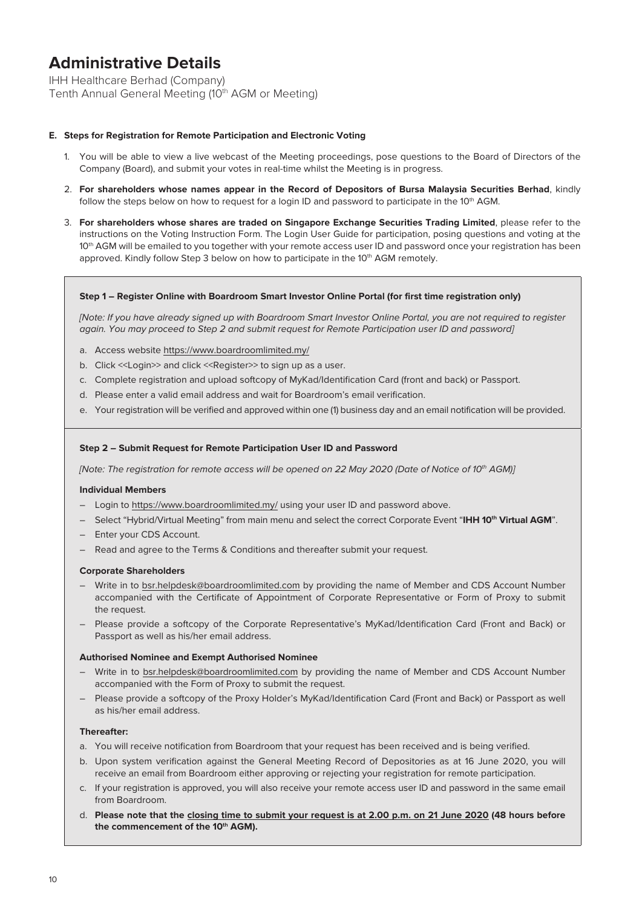# **Administrative Details**

IHH Healthcare Berhad (Company) Tenth Annual General Meeting (10<sup>th</sup> AGM or Meeting)

## **E. Steps for Registration for Remote Participation and Electronic Voting**

- 1. You will be able to view a live webcast of the Meeting proceedings, pose questions to the Board of Directors of the Company (Board), and submit your votes in real-time whilst the Meeting is in progress.
- 2. **For shareholders whose names appear in the Record of Depositors of Bursa Malaysia Securities Berhad**, kindly follow the steps below on how to request for a login ID and password to participate in the  $10<sup>th</sup>$  AGM.
- 3. **For shareholders whose shares are traded on Singapore Exchange Securities Trading Limited**, please refer to the instructions on the Voting Instruction Form. The Login User Guide for participation, posing questions and voting at the 10th AGM will be emailed to you together with your remote access user ID and password once your registration has been approved. Kindly follow Step 3 below on how to participate in the  $10<sup>th</sup>$  AGM remotely.

#### **Step 1 – Register Online with Boardroom Smart Investor Online Portal (for first time registration only)**

*[Note: If you have already signed up with Boardroom Smart Investor Online Portal, you are not required to register again. You may proceed to Step 2 and submit request for Remote Participation user ID and password*]

- a. Access website https://www.boardroomlimited.my/
- b. Click <<Login>> and click <<Register>> to sign up as a user.
- c. Complete registration and upload softcopy of MyKad/Identification Card (front and back) or Passport.
- d. Please enter a valid email address and wait for Boardroom's email verification.
- e. Your registration will be verified and approved within one (1) business day and an email notification will be provided.

#### **Step 2 – Submit Request for Remote Participation User ID and Password**

*[Note: The registration for remote access will be opened on 22 May 2020 (Date of Notice of 10<sup>th</sup> AGM)]* 

#### **Individual Members**

- Login to https://www.boardroomlimited.my/ using your user ID and password above.
- Select "Hybrid/Virtual Meeting" from main menu and select the correct Corporate Event "**IHH 10th Virtual AGM**".
- Enter your CDS Account.
- Read and agree to the Terms & Conditions and thereafter submit your request.

#### **Corporate Shareholders**

- Write in to bsr.helpdesk@boardroomlimited.com by providing the name of Member and CDS Account Number accompanied with the Certificate of Appointment of Corporate Representative or Form of Proxy to submit the request.
- Please provide a softcopy of the Corporate Representative's MyKad/Identification Card (Front and Back) or Passport as well as his/her email address.

#### **Authorised Nominee and Exempt Authorised Nominee**

- Write in to bsr.helpdesk@boardroomlimited.com by providing the name of Member and CDS Account Number accompanied with the Form of Proxy to submit the request.
- Please provide a softcopy of the Proxy Holder's MyKad/Identification Card (Front and Back) or Passport as well as his/her email address.

#### **Thereafter:**

- a. You will receive notification from Boardroom that your request has been received and is being verified.
- b. Upon system verification against the General Meeting Record of Depositories as at 16 June 2020, you will receive an email from Boardroom either approving or rejecting your registration for remote participation.
- c. If your registration is approved, you will also receive your remote access user ID and password in the same email from Boardroom.
- d. **Please note that the closing time to submit your request is at 2.00 p.m. on 21 June 2020 (48 hours before**  the commencement of the 10<sup>th</sup> AGM).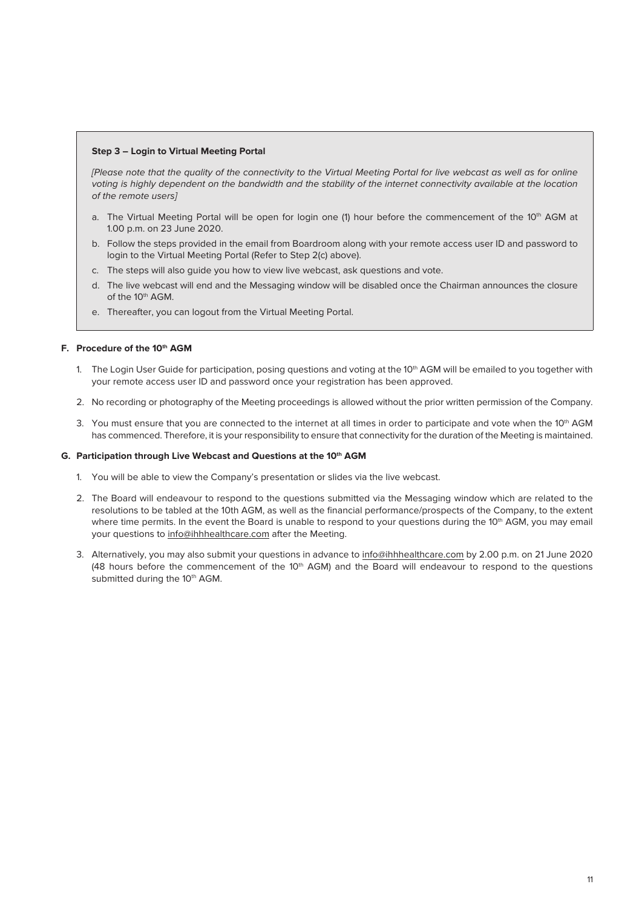#### **Step 3 – Login to Virtual Meeting Portal**

*[Please note that the quality of the connectivity to the Virtual Meeting Portal for live webcast as well as for online*  voting is highly dependent on the bandwidth and the stability of the internet connectivity available at the location *of the remote users]*

- a. The Virtual Meeting Portal will be open for login one (1) hour before the commencement of the 10th AGM at 1.00 p.m. on 23 June 2020.
- b. Follow the steps provided in the email from Boardroom along with your remote access user ID and password to login to the Virtual Meeting Portal (Refer to Step 2(c) above).
- c. The steps will also guide you how to view live webcast, ask questions and vote.
- d. The live webcast will end and the Messaging window will be disabled once the Chairman announces the closure of the 10<sup>th</sup> AGM.
- e. Thereafter, you can logout from the Virtual Meeting Portal.

## **F.** Procedure of the 10<sup>th</sup> AGM

- 1. The Login User Guide for participation, posing questions and voting at the 10<sup>th</sup> AGM will be emailed to you together with your remote access user ID and password once your registration has been approved.
- 2. No recording or photography of the Meeting proceedings is allowed without the prior written permission of the Company.
- 3. You must ensure that you are connected to the internet at all times in order to participate and vote when the  $10<sup>th</sup>$  AGM has commenced. Therefore, it is your responsibility to ensure that connectivity for the duration of the Meeting is maintained.

#### **G.** Participation through Live Webcast and Questions at the 10<sup>th</sup> AGM

- 1. You will be able to view the Company's presentation or slides via the live webcast.
- 2. The Board will endeavour to respond to the questions submitted via the Messaging window which are related to the resolutions to be tabled at the 10th AGM, as well as the financial performance/prospects of the Company, to the extent where time permits. In the event the Board is unable to respond to your questions during the 10<sup>th</sup> AGM, you may email your questions to info@ihhhealthcare.com after the Meeting.
- 3. Alternatively, you may also submit your questions in advance to info@ihhhealthcare.com by 2.00 p.m. on 21 June 2020 (48 hours before the commencement of the 10<sup>th</sup> AGM) and the Board will endeavour to respond to the questions submitted during the 10<sup>th</sup> AGM.